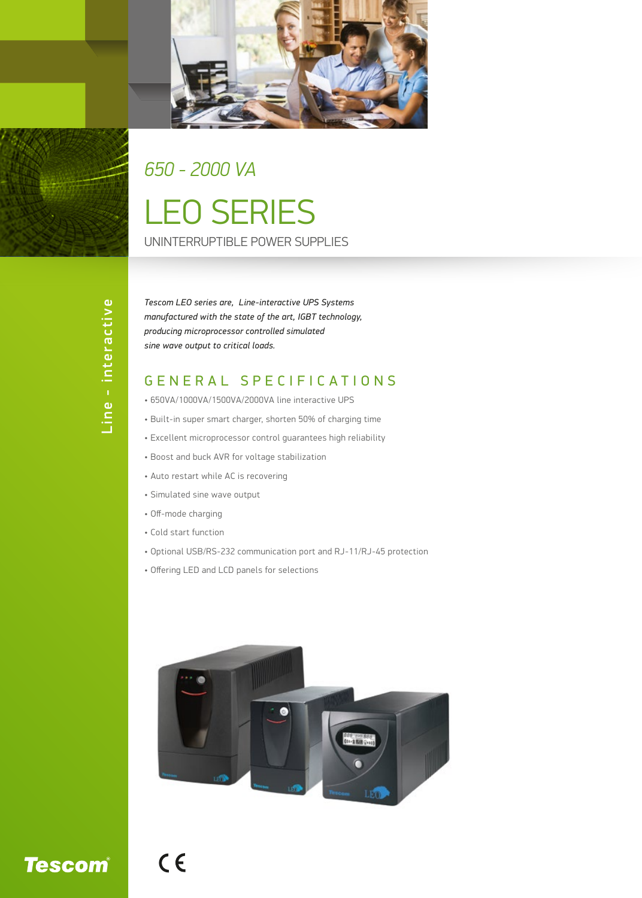

## LEO SERIES *650 - 2000 VA*

UNINTERRUPTIBLE POWER SUPPLIES

*Tescom LEO series are, Line-interactive UPS Systems manufactured with the state of the art, IGBT technology, producing microprocessor controlled simulated sine wave output to critical loads.*

## GENERAL SPECIFICATIONS

- 650VA/1000VA/1500VA/2000VA line interactive UPS
- Built-in super smart charger, shorten 50% of charging time
- Excellent microprocessor control guarantees high reliability
- Boost and buck AVR for voltage stabilization
- Auto restart while AC is recovering
- Simulated sine wave output
- Off-mode charging
- Cold start function

 $C<sub>6</sub>$ 

- Optional USB/RS-232 communication port and RJ-11/RJ-45 protection
- Offering LED and LCD panels for selections